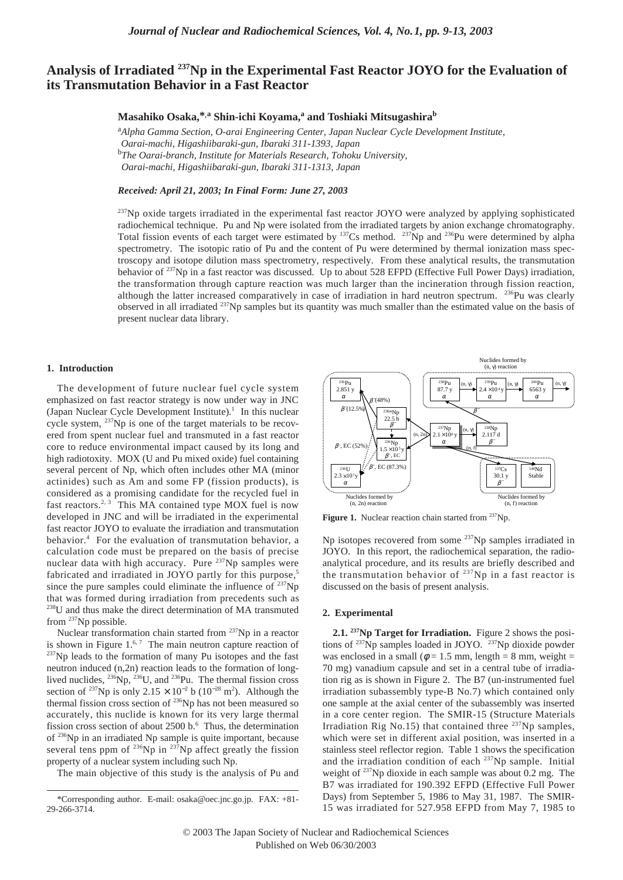# **Analysis of Irradiated 237Np in the Experimental Fast Reactor JOYO for the Evaluation of its Transmutation Behavior in a Fast Reactor**

**Masahiko Osaka,\*,a Shin-ichi Koyama,<sup>a</sup> and Toshiaki Mitsugashira<sup>b</sup>**

<sup>a</sup>Alpha Gamma Section, O-arai Engineering Center, Japan Nuclear Cycle Development Institute, *Oarai-machi, Higashiibaraki-gun, Ibaraki 311-1393, Japan* b *The Oarai-branch, Institute for Materials Research, Tohoku University, Oarai-machi, Higashiibaraki-gun, Ibaraki 311-1313, Japan*

## *Received: April 21, 2003; In Final Form: June 27, 2003*

 $^{237}$ Np oxide targets irradiated in the experimental fast reactor JOYO were analyzed by applying sophisticated radiochemical technique. Pu and Np were isolated from the irradiated targets by anion exchange chromatography. Total fission events of each target were estimated by  $^{137}Cs$  method.  $^{237}Np$  and  $^{236}Pu$  were determined by alpha spectrometry. The isotopic ratio of Pu and the content of Pu were determined by thermal ionization mass spectroscopy and isotope dilution mass spectrometry, respectively. From these analytical results, the transmutation behavior of <sup>237</sup>Np in a fast reactor was discussed. Up to about 528 EFPD (Effective Full Power Days) irradiation, the transformation through capture reaction was much larger than the incineration through fission reaction, although the latter increased comparatively in case of irradiation in hard neutron spectrum. <sup>236</sup>Pu was clearly observed in all irradiated 237Np samples but its quantity was much smaller than the estimated value on the basis of present nuclear data library.

# **1. Introduction**

The development of future nuclear fuel cycle system emphasized on fast reactor strategy is now under way in JNC (Japan Nuclear Cycle Development Institute).<sup>1</sup> In this nuclear cycle system, <sup>237</sup>Np is one of the target materials to be recovered from spent nuclear fuel and transmuted in a fast reactor core to reduce environmental impact caused by its long and high radiotoxity. MOX (U and Pu mixed oxide) fuel containing several percent of Np, which often includes other MA (minor actinides) such as Am and some FP (fission products), is considered as a promising candidate for the recycled fuel in fast reactors.<sup>2, 3</sup> This MA contained type MOX fuel is now developed in JNC and will be irradiated in the experimental fast reactor JOYO to evaluate the irradiation and transmutation behavior.<sup>4</sup> For the evaluation of transmutation behavior, a calculation code must be prepared on the basis of precise nuclear data with high accuracy. Pure <sup>237</sup>Np samples were fabricated and irradiated in JOYO partly for this purpose,<sup>5</sup> since the pure samples could eliminate the influence of  $^{237}$ Np that was formed during irradiation from precedents such as <sup>238</sup>U and thus make the direct determination of MA transmuted from 237Np possible.

Nuclear transformation chain started from <sup>237</sup>Np in a reactor is shown in Figure  $1<sup>6,7</sup>$  The main neutron capture reaction of <sup>237</sup>Np leads to the formation of many Pu isotopes and the fast neutron induced (n,2n) reaction leads to the formation of longlived nuclides,  $^{236}$ Np,  $^{236}$ U, and  $^{236}$ Pu. The thermal fission cross section of <sup>237</sup>Np is only 2.15 × 10<sup>-2</sup> b (10<sup>-28</sup> m<sup>2</sup>). Although the thermal fission cross section of <sup>236</sup>Np has not been measured so accurately, this nuclide is known for its very large thermal fission cross section of about  $2500$  b.<sup>6</sup> Thus, the determination of 236Np in an irradiated Np sample is quite important, because several tens ppm of  $^{236}Np$  in  $^{237}Np$  affect greatly the fission property of a nuclear system including such Np.

The main objective of this study is the analysis of Pu and



Figure 1. Nuclear reaction chain started from <sup>237</sup>Np.

Np isotopes recovered from some 237Np samples irradiated in JOYO. In this report, the radiochemical separation, the radioanalytical procedure, and its results are briefly described and the transmutation behavior of  $^{237}$ Np in a fast reactor is discussed on the basis of present analysis.

## **2. Experimental**

**2.1. 237Np Target for Irradiation.** Figure 2 shows the positions of <sup>237</sup>Np samples loaded in JOYO. <sup>237</sup>Np dioxide powder was enclosed in a small ( $\phi = 1.5$  mm, length = 8 mm, weight = 70 mg) vanadium capsule and set in a central tube of irradiation rig as is shown in Figure 2. The B7 (un-instrumented fuel irradiation subassembly type-B No.7) which contained only one sample at the axial center of the subassembly was inserted in a core center region. The SMIR-15 (Structure Materials Irradiation Rig No.15) that contained three <sup>237</sup>Np samples, which were set in different axial position, was inserted in a stainless steel reflector region. Table 1 shows the specification and the irradiation condition of each 237Np sample. Initial weight of 237Np dioxide in each sample was about 0.2 mg. The B7 was irradiated for 190.392 EFPD (Effective Full Power Days) from September 5, 1986 to May 31, 1987. The SMIR-15 was irradiated for 527.958 EFPD from May 7, 1985 to

<sup>\*</sup>Corresponding author. E-mail: osaka@oec.jnc.go.jp. FAX: +81- 29-266-3714.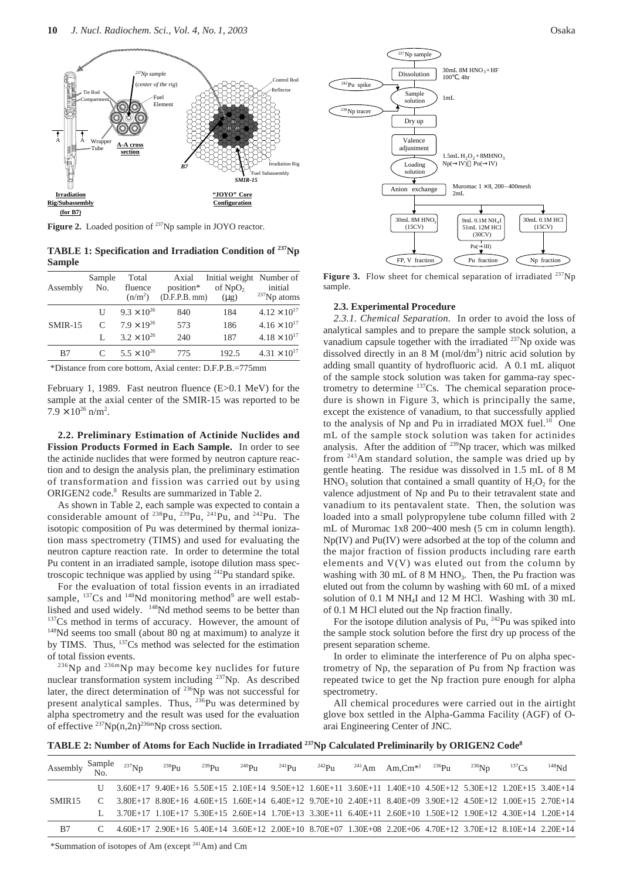

Figure 2. Loaded position of <sup>237</sup>Np sample in JOYO reactor.

**TABLE 1: Specification and Irradiation Condition of 237Np Sample**

| Assembly  | Sample<br>No. | Total<br>fluence<br>(n/m <sup>2</sup> ) | Axial<br>position*<br>(D.F.P.B. mm) | Initial weight Number of<br>of $NpO2$<br>$(\mu g)$ | initial<br>$237$ Np atoms |
|-----------|---------------|-----------------------------------------|-------------------------------------|----------------------------------------------------|---------------------------|
|           | U             | $9.3 \times 10^{26}$                    | 840                                 | 184                                                | $4.12 \times 10^{17}$     |
| $SMIR-15$ | $\mathcal{C}$ | $7.9 \times 19^{26}$                    | 573                                 | 186                                                | $4.16 \times 10^{17}$     |
|           |               | $3.2 \times 10^{26}$                    | 240                                 | 187                                                | $4.18 \times 10^{17}$     |
| B7        | C             | $5.5 \times 10^{26}$                    | 775                                 | 192.5                                              | $4.31 \times 10^{17}$     |
|           |               |                                         |                                     |                                                    |                           |

\*Distance from core bottom, Axial center: D.F.P.B.=775mm

February 1, 1989. Fast neutron fluence (E>0.1 MeV) for the sample at the axial center of the SMIR-15 was reported to be  $7.9 \times 10^{26}$  n/m<sup>2</sup>.

**2.2. Preliminary Estimation of Actinide Nuclides and Fission Products Formed in Each Sample.** In order to see the actinide nuclides that were formed by neutron capture reaction and to design the analysis plan, the preliminary estimation of transformation and fission was carried out by using ORIGEN2 code.8 Results are summarized in Table 2.

As shown in Table 2, each sample was expected to contain a considerable amount of  $^{238}Pu$ ,  $^{239}Pu$ ,  $^{241}Pu$ , and  $^{242}Pu$ . The isotopic composition of Pu was determined by thermal ionization mass spectrometry (TIMS) and used for evaluating the neutron capture reaction rate. In order to determine the total Pu content in an irradiated sample, isotope dilution mass spectroscopic technique was applied by using <sup>242</sup>Pu standard spike.

For the evaluation of total fission events in an irradiated sample,  $^{137}Cs$  and  $^{148}Nd$  monitoring method<sup>9</sup> are well established and used widely. <sup>148</sup>Nd method seems to be better than <sup>137</sup>Cs method in terms of accuracy. However, the amount of <sup>148</sup>Nd seems too small (about 80 ng at maximum) to analyze it by TIMS. Thus, 137Cs method was selected for the estimation of total fission events.

236Np and 236mNp may become key nuclides for future nuclear transformation system including 237Np. As described later, the direct determination of 236Np was not successful for present analytical samples. Thus,  $^{236}$ Pu was determined by alpha spectrometry and the result was used for the evaluation of effective  $^{237}Np(n,2n)^{236m}Np$  cross section.



Figure 3. Flow sheet for chemical separation of irradiated <sup>237</sup>Np sample.

#### **2.3. Experimental Procedure**

*2.3.1. Chemical Separation.* In order to avoid the loss of analytical samples and to prepare the sample stock solution, a vanadium capsule together with the irradiated  $^{237}$ Np oxide was dissolved directly in an  $8 \text{ M } (\text{mol/dm}^3)$  nitric acid solution by adding small quantity of hydrofluoric acid. A 0.1 mL aliquot of the sample stock solution was taken for gamma-ray spectrometry to determine  $137Cs$ . The chemical separation procedure is shown in Figure 3, which is principally the same, except the existence of vanadium, to that successfully applied to the analysis of Np and Pu in irradiated MOX fuel. $10$  One mL of the sample stock solution was taken for actinides analysis. After the addition of <sup>239</sup>Np tracer, which was milked from 243Am standard solution, the sample was dried up by gentle heating. The residue was dissolved in 1.5 mL of 8 M  $HNO<sub>3</sub>$  solution that contained a small quantity of  $H<sub>2</sub>O<sub>2</sub>$  for the valence adjustment of Np and Pu to their tetravalent state and vanadium to its pentavalent state. Then, the solution was loaded into a small polypropylene tube column filled with 2 mL of Muromac 1x8 200~400 mesh (5 cm in column length). Np(IV) and Pu(IV) were adsorbed at the top of the column and the major fraction of fission products including rare earth elements and V(V) was eluted out from the column by washing with 30 mL of 8 M HNO<sub>3</sub>. Then, the Pu fraction was eluted out from the column by washing with 60 mL of a mixed solution of 0.1 M NH4I and 12 M HCl. Washing with 30 mL of 0.1 M HCl eluted out the Np fraction finally.

For the isotope dilution analysis of Pu, <sup>242</sup>Pu was spiked into the sample stock solution before the first dry up process of the present separation scheme.

In order to eliminate the interference of Pu on alpha spectrometry of Np, the separation of Pu from Np fraction was repeated twice to get the Np fraction pure enough for alpha spectrometry.

All chemical procedures were carried out in the airtight glove box settled in the Alpha-Gamma Facility (AGF) of Oarai Engineering Center of JNC.

**TABLE 2: Number of Atoms for Each Nuclide in Irradiated 237Np Calculated Preliminarily by ORIGEN2 Code8**

| Assembly $\frac{\text{Sample}}{\text{No}}$ $^{237}\text{Np}$ |  | $^{238}$ Pu | $^{239}Pu$ | $^{240}P_{11}$                                                                                                | $^{241}Pu$ | $242$ Pu | $^{241}$ Am Am.Cm <sup>*</sup> ) $^{236}$ Pu | $^{236}$ Nn | $^{137}Cs$ | $^{148}Nd$ |
|--------------------------------------------------------------|--|-------------|------------|---------------------------------------------------------------------------------------------------------------|------------|----------|----------------------------------------------|-------------|------------|------------|
|                                                              |  |             |            | U 3.60E+17 9.40E+16 5.50E+15 2.10E+14 9.50E+12 1.60E+11 3.60E+11 1.40E+10 4.50E+12 5.30E+12 1.20E+15 3.40E+14 |            |          |                                              |             |            |            |
| SMIR <sub>15</sub>                                           |  |             |            | C 3.80E+17 8.80E+16 4.60E+15 1.60E+14 6.40E+12 9.70E+10 2.40E+11 8.40E+09 3.90E+12 4.50E+12 1.00E+15 2.70E+14 |            |          |                                              |             |            |            |
|                                                              |  |             |            | L 3.70E+17 1.10E+17 5.30E+15 2.60E+14 1.70E+13 3.30E+11 6.40E+11 2.60E+10 1.50E+12 1.90E+12 4.30E+14 1.20E+14 |            |          |                                              |             |            |            |
| B7                                                           |  |             |            | C 4.60E+17 2.90E+16 5.40E+14 3.60E+12 2.00E+10 8.70E+07 1.30E+08 2.20E+06 4.70E+12 3.70E+12 8.10E+14 2.20E+14 |            |          |                                              |             |            |            |

\*Summation of isotopes of Am (except 241Am) and Cm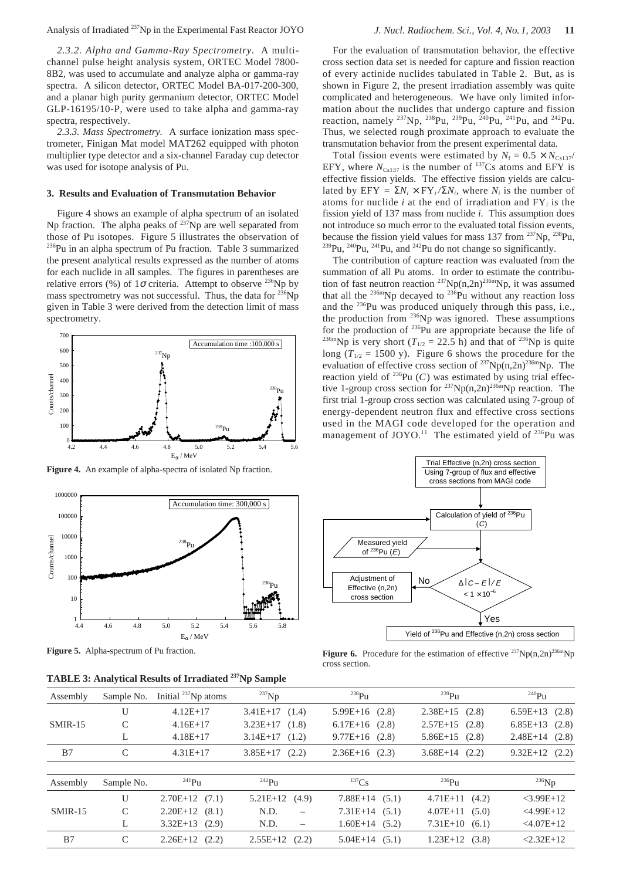*2.3.2. Alpha and Gamma-Ray Spectrometry.* A multichannel pulse height analysis system, ORTEC Model 7800- 8B2, was used to accumulate and analyze alpha or gamma-ray spectra. A silicon detector, ORTEC Model BA-017-200-300, and a planar high purity germanium detector, ORTEC Model GLP-16195/10-P, were used to take alpha and gamma-ray spectra, respectively.

*2.3.3. Mass Spectrometry.* A surface ionization mass spectrometer, Finigan Mat model MAT262 equipped with photon multiplier type detector and a six-channel Faraday cup detector was used for isotope analysis of Pu.

## **3. Results and Evaluation of Transmutation Behavior**

Figure 4 shows an example of alpha spectrum of an isolated Np fraction. The alpha peaks of  $^{237}$ Np are well separated from those of Pu isotopes. Figure 5 illustrates the observation of <sup>236</sup>Pu in an alpha spectrum of Pu fraction. Table 3 summarized the present analytical results expressed as the number of atoms for each nuclide in all samples. The figures in parentheses are relative errors (%) of  $1\sigma$  criteria. Attempt to observe <sup>236</sup>Np by mass spectrometry was not successful. Thus, the data for <sup>236</sup>Np given in Table 3 were derived from the detection limit of mass spectrometry.



Figure 4. An example of alpha-spectra of isolated Np fraction.



**Figure 5.** Alpha-spectrum of Pu fraction.

**TABLE 3: Analytical Results of Irradiated 237Np Sample**

For the evaluation of transmutation behavior, the effective cross section data set is needed for capture and fission reaction of every actinide nuclides tabulated in Table 2. But, as is shown in Figure 2, the present irradiation assembly was quite complicated and heterogeneous. We have only limited information about the nuclides that undergo capture and fission reaction, namely <sup>237</sup>Np, <sup>238</sup>Pu, <sup>239</sup>Pu, <sup>240</sup>Pu, <sup>241</sup>Pu, and <sup>242</sup>Pu. Thus, we selected rough proximate approach to evaluate the transmutation behavior from the present experimental data.

Total fission events were estimated by  $N_f = 0.5 \times N_{C_5137}/$ EFY, where  $N_{Cs137}$  is the number of <sup>137</sup>Cs atoms and EFY is effective fission yields. The effective fission yields are calculated by  $EFY = \sum N_i \times FY_i / \sum N_i$ , where *N<sub>i</sub>* is the number of atoms for nuclide *i* at the end of irradiation and FY*<sup>i</sup>* is the fission yield of 137 mass from nuclide *i*. This assumption does not introduce so much error to the evaluated total fission events, because the fission yield values for mass 137 from  $^{237}$ Np,  $^{238}$ Pu,  $^{239}$ Pu,  $^{240}$ Pu,  $^{241}$ Pu, and  $^{242}$ Pu do not change so significantly.

The contribution of capture reaction was evaluated from the summation of all Pu atoms. In order to estimate the contribution of fast neutron reaction  $237Np(n,2n)$ <sup>236m</sup>Np, it was assumed that all the  $^{236m}$ Np decayed to  $^{236}$ Pu without any reaction loss and the 236Pu was produced uniquely through this pass, i.e., the production from <sup>236</sup>Np was ignored. These assumptions for the production of 236Pu are appropriate because the life of <sup>236m</sup>Np is very short ( $T_{1/2}$  = 22.5 h) and that of <sup>236</sup>Np is quite long  $(T_{1/2} = 1500 \text{ y})$ . Figure 6 shows the procedure for the evaluation of effective cross section of  $237Np(n,2n)^{236m}Np$ . The reaction yield of  $^{236}Pu$  (*C*) was estimated by using trial effective 1-group cross section for  $237Np(n,2n)236mNp$  reaction. The first trial 1-group cross section was calculated using 7-group of energy-dependent neutron flux and effective cross sections used in the MAGI code developed for the operation and management of JOYO.<sup>11</sup> The estimated yield of  $^{236}$ Pu was



**Figure 6.** Procedure for the estimation of effective  $^{237}Np(n,2n)^{236m}Np$ cross section.

| Assembly  | Sample No. Initial $^{237}$ Np atoms | $^{237}$ Np        | $^{238}P_{11}$     | $^{239}P_{11}$   | $^{240}P_{11}$     |  |
|-----------|--------------------------------------|--------------------|--------------------|------------------|--------------------|--|
|           | $4.12E+17$                           | $3.41E+17$ $(1.4)$ | $5.99E+16$ (2.8)   | $2.38E+15$ (2.8) | $6.59E+13$ $(2.8)$ |  |
| $SMIR-15$ | $4.16E+17$                           | $3.23E+17$ (1.8)   | $6.17E+16$ $(2.8)$ | $2.57E+15$ (2.8) | $6.85E+13$ $(2.8)$ |  |
|           | $4.18E+17$                           | $3.14E+17$ $(1.2)$ | $9.77E+16$ (2.8)   | $5.86E+15$ (2.8) | $2.48E+14$ (2.8)   |  |
| B7        | $4.31E+17$                           | $3.85E+17$ (2.2)   | $2.36E+16$ (2.3)   | $3.68E+14$ (2.2) | $9.32E+12$ (2.2)   |  |
|           |                                      |                    |                    |                  |                    |  |

| Assembly  | Sample No. | $^{241}P_{11}$   | $^{242}P_{11}$                   | $^{137}$ Cs        | $^{236}P_{11}$     | $^{236}$ Np    |
|-----------|------------|------------------|----------------------------------|--------------------|--------------------|----------------|
|           |            | $2.70E+12$ (7.1) | $5.21E+12$ (4.9)                 | $7.88E+14$ (5.1)   | $4.71E+11$ $(4.2)$ | $<$ 3.99E+12   |
| $SMIR-15$ |            | $2.20E+12$ (8.1) | N.D.<br>$\overline{\phantom{0}}$ | $7.31E+14$ (5.1)   | $4.07E+11$ $(5.0)$ | $<$ 4.99E+12   |
|           |            | $3.32E+13$ (2.9) | N.D.<br>$\equiv$                 | $1.60E+14$ (5.2)   | $7.31E+10$ (6.1)   | $< 4.07E + 12$ |
| B7        |            | $2.26E+12$ (2.2) | $2.55E+12$ (2.2)                 | $5.04E+14$ $(5.1)$ | $1.23E+12$ (3.8)   | $2.32E+12$     |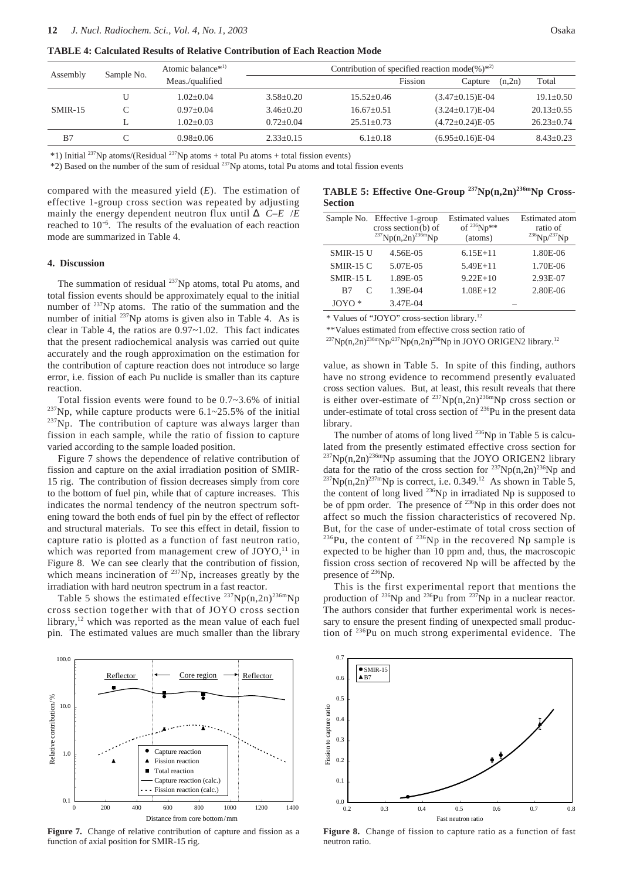**TABLE 4: Calculated Results of Relative Contribution of Each Reaction Mode**

| Assembly  | Sample No. | Atomic balance <sup>*1)</sup> | Contribution of specified reaction mode(%) <sup><math>*^{2}</math>)</sup> |                |                |                         |        |                  |  |  |
|-----------|------------|-------------------------------|---------------------------------------------------------------------------|----------------|----------------|-------------------------|--------|------------------|--|--|
|           |            | Meas./qualified               |                                                                           |                | <b>Fission</b> | Capture                 | (n,2n) | Total            |  |  |
|           |            | $1.02 + 0.04$                 | $3.58 + 0.20$                                                             | $15.52 + 0.46$ |                | $(3.47\pm0.15)E-04$     |        | $19.1 \pm 0.50$  |  |  |
| $SMIR-15$ |            | $0.97+0.04$                   | $3.46 + 0.20$                                                             | $16.67+0.51$   |                | $(3.24 \pm 0.17)E-04$   |        | $20.13+0.55$     |  |  |
|           | н.         | $1.02 + 0.03$                 | $0.72 + 0.04$                                                             | $25.51 + 0.73$ |                | $(4.72 \pm 0.24)E - 05$ |        | $26.23 \pm 0.74$ |  |  |
| B7        |            | $0.98 + 0.06$                 | $2.33+0.15$                                                               | $6.1 + 0.18$   |                | $(6.95 \pm 0.16)E - 04$ |        | $8.43 \pm 0.23$  |  |  |

\*1) Initial <sup>237</sup>Np atoms/(Residual <sup>237</sup>Np atoms + total Pu atoms + total fission events)

\*2) Based on the number of the sum of residual 237Np atoms, total Pu atoms and total fission events

compared with the measured yield (*E*). The estimation of effective 1-group cross section was repeated by adjusting mainly the energy dependent neutron flux until  $\Delta$  *C–E* /*E* reached to 10<sup>−</sup><sup>5</sup> . The results of the evaluation of each reaction mode are summarized in Table 4.

## **4. Discussion**

The summation of residual <sup>237</sup>Np atoms, total Pu atoms, and total fission events should be approximately equal to the initial number of <sup>237</sup>Np atoms. The ratio of the summation and the number of initial  $^{237}$ Np atoms is given also in Table 4. As is clear in Table 4, the ratios are 0.97~1.02. This fact indicates that the present radiochemical analysis was carried out quite accurately and the rough approximation on the estimation for the contribution of capture reaction does not introduce so large error, i.e. fission of each Pu nuclide is smaller than its capture reaction.

Total fission events were found to be 0.7~3.6% of initial  $237$ Np, while capture products were 6.1~25.5% of the initial <sup>237</sup>Np. The contribution of capture was always larger than fission in each sample, while the ratio of fission to capture varied according to the sample loaded position.

Figure 7 shows the dependence of relative contribution of fission and capture on the axial irradiation position of SMIR-15 rig. The contribution of fission decreases simply from core to the bottom of fuel pin, while that of capture increases. This indicates the normal tendency of the neutron spectrum softening toward the both ends of fuel pin by the effect of reflector and structural materials. To see this effect in detail, fission to capture ratio is plotted as a function of fast neutron ratio, which was reported from management crew of  $JOYO$ ,<sup>11</sup> in Figure 8. We can see clearly that the contribution of fission, which means incineration of <sup>237</sup>Np, increases greatly by the irradiation with hard neutron spectrum in a fast reactor.

Table 5 shows the estimated effective  $^{237}Np(n,2n)^{236m}Np$ cross section together with that of JOYO cross section library, $12$  which was reported as the mean value of each fuel pin. The estimated values are much smaller than the library



**Figure 7.** Change of relative contribution of capture and fission as a function of axial position for SMIR-15 rig.

TABLE 5: Effective One-Group <sup>237</sup>Np(n,2n)<sup>236m</sup>Np Cross-**Section**

|                  | Sample No. Effective 1-group<br>cross section $(b)$ of<br>$^{237}Np(n,2n)^{236m}Np$ | <b>Estimated values</b><br>of $^{236}Np**$<br>(atoms) | <b>Estimated</b> atom<br>ratio of |
|------------------|-------------------------------------------------------------------------------------|-------------------------------------------------------|-----------------------------------|
| <b>SMIR-15 U</b> | 4.56E-05                                                                            | $6.15E+11$                                            | 1.80E-06                          |
| $SMIR-15C$       | 5.07E-05                                                                            | $5.49E + 11$                                          | 1.70E-06                          |
| <b>SMIR-15 L</b> | 1.89E-05                                                                            | $9.22E+10$                                            | 2.93E-07                          |
| C<br>B7          | 1.39E-04                                                                            | $1.08E+12$                                            | 2.80E-06                          |
| $JOYO*$          | 3.47E-04                                                                            |                                                       |                                   |

\* Values of "JOYO" cross-section library.12

\*\*Values estimated from effective cross section ratio of

 $^{237}Np(n,2n)^{236m}Np^{237}Np(n,2n)^{236}Np$  in JOYO ORIGEN2 library.<sup>12</sup>

value, as shown in Table 5. In spite of this finding, authors have no strong evidence to recommend presently evaluated cross section values. But, at least, this result reveals that there is either over-estimate of  $^{237}Np(n,2n)^{236m}Np$  cross section or under-estimate of total cross section of <sup>236</sup>Pu in the present data library.

The number of atoms of long lived <sup>236</sup>Np in Table 5 is calculated from the presently estimated effective cross section for  $^{237}Np(n,2n)^{236m}Np$  assuming that the JOYO ORIGEN2 library data for the ratio of the cross section for  $237Np(n,2n)^{236}Np$  and  $^{237}Np(n,2n)^{237m}Np$  is correct, i.e. 0.349.<sup>12</sup> As shown in Table 5, the content of long lived <sup>236</sup>Np in irradiated Np is supposed to be of ppm order. The presence of <sup>236</sup>Np in this order does not affect so much the fission characteristics of recovered Np. But, for the case of under-estimate of total cross section of  $236$ Pu, the content of  $236$ Np in the recovered Np sample is expected to be higher than 10 ppm and, thus, the macroscopic fission cross section of recovered Np will be affected by the presence of <sup>236</sup>Np.

This is the first experimental report that mentions the production of <sup>236</sup>Np and <sup>236</sup>Pu from <sup>237</sup>Np in a nuclear reactor. The authors consider that further experimental work is necessary to ensure the present finding of unexpected small production of 236Pu on much strong experimental evidence. The



**Figure 8.** Change of fission to capture ratio as a function of fast neutron ratio.